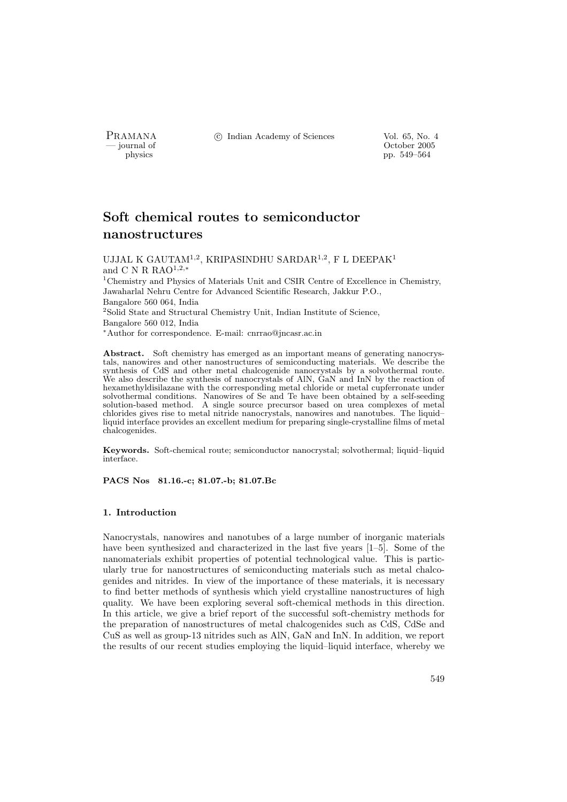PRAMANA <sup>C</sup> Indian Academy of Sciences Vol. 65, No. 4<br>  $\frac{1}{\sqrt{2}}$  October 2005

physics and the control of the control of the control of the control of the control of the control of the control of the control of the control of the control of the control of the control of the control of the control of pp. 549–564

# Soft chemical routes to semiconductor nanostructures

UJJAL K GAUTA $\mathrm{M}^{1,2},$  KRIPASINDHU SARDAR $^{1,2},$  F L DEEPAK $^1$ and C N R RAO<sup>1,2,\*</sup>

<sup>1</sup>Chemistry and Physics of Materials Unit and CSIR Centre of Excellence in Chemistry, Jawaharlal Nehru Centre for Advanced Scientific Research, Jakkur P.O., Bangalore 560 064, India <sup>2</sup>Solid State and Structural Chemistry Unit, Indian Institute of Science, Bangalore 560 012, India

<sup>∗</sup>Author for correspondence. E-mail: cnrrao@jncasr.ac.in

Abstract. Soft chemistry has emerged as an important means of generating nanocrystals, nanowires and other nanostructures of semiconducting materials. We describe the synthesis of CdS and other metal chalcogenide nanocrystals by a solvothermal route. We also describe the synthesis of nanocrystals of AlN, GaN and InN by the reaction of hexamethyldisilazane with the corresponding metal chloride or metal cupferronate under solvothermal conditions. Nanowires of Se and Te have been obtained by a self-seeding solution-based method. A single source precursor based on urea complexes of metal chlorides gives rise to metal nitride nanocrystals, nanowires and nanotubes. The liquid– liquid interface provides an excellent medium for preparing single-crystalline films of metal chalcogenides.

Keywords. Soft-chemical route; semiconductor nanocrystal; solvothermal; liquid–liquid interface.

PACS Nos 81.16.-c; 81.07.-b; 81.07.Bc

## 1. Introduction

Nanocrystals, nanowires and nanotubes of a large number of inorganic materials have been synthesized and characterized in the last five years [1–5]. Some of the nanomaterials exhibit properties of potential technological value. This is particularly true for nanostructures of semiconducting materials such as metal chalcogenides and nitrides. In view of the importance of these materials, it is necessary to find better methods of synthesis which yield crystalline nanostructures of high quality. We have been exploring several soft-chemical methods in this direction. In this article, we give a brief report of the successful soft-chemistry methods for the preparation of nanostructures of metal chalcogenides such as CdS, CdSe and CuS as well as group-13 nitrides such as AlN, GaN and InN. In addition, we report the results of our recent studies employing the liquid–liquid interface, whereby we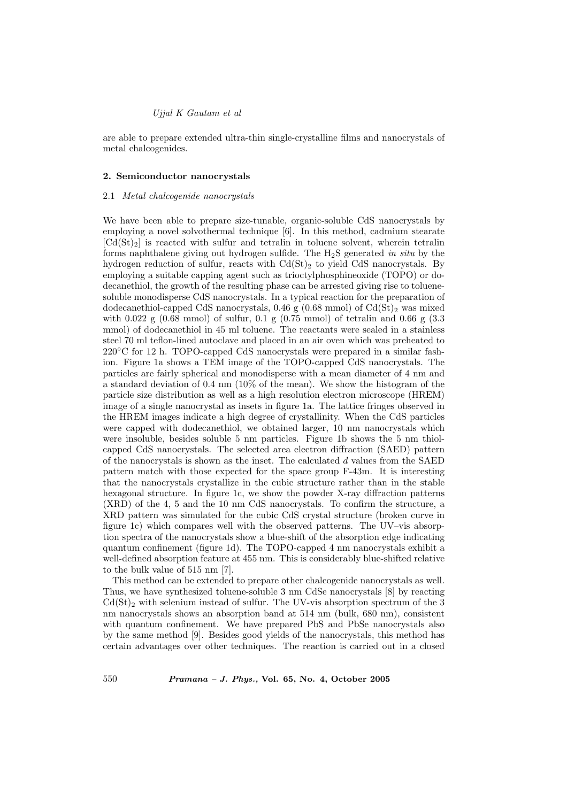are able to prepare extended ultra-thin single-crystalline films and nanocrystals of metal chalcogenides.

#### 2. Semiconductor nanocrystals

## 2.1 Metal chalcogenide nanocrystals

We have been able to prepare size-tunable, organic-soluble CdS nanocrystals by employing a novel solvothermal technique [6]. In this method, cadmium stearate  $|Cd(St)<sub>2</sub>|$  is reacted with sulfur and tetralin in toluene solvent, wherein tetralin forms naphthalene giving out hydrogen sulfide. The  $H_2S$  generated in situ by the hydrogen reduction of sulfur, reacts with  $Cd(St)_2$  to yield CdS nanocrystals. By employing a suitable capping agent such as trioctylphosphineoxide (TOPO) or dodecanethiol, the growth of the resulting phase can be arrested giving rise to toluenesoluble monodisperse CdS nanocrystals. In a typical reaction for the preparation of dodecanethiol-capped CdS nanocrystals, 0.46 g (0.68 mmol) of  $Cd(St)_2$  was mixed with  $0.022 \text{ g}$  (0.68 mmol) of sulfur, 0.1 g (0.75 mmol) of tetralin and 0.66 g (3.3 mmol) of dodecanethiol in 45 ml toluene. The reactants were sealed in a stainless steel 70 ml teflon-lined autoclave and placed in an air oven which was preheated to 220<sup>°</sup>C for 12 h. TOPO-capped CdS nanocrystals were prepared in a similar fashion. Figure 1a shows a TEM image of the TOPO-capped CdS nanocrystals. The particles are fairly spherical and monodisperse with a mean diameter of 4 nm and a standard deviation of 0.4 nm (10% of the mean). We show the histogram of the particle size distribution as well as a high resolution electron microscope (HREM) image of a single nanocrystal as insets in figure 1a. The lattice fringes observed in the HREM images indicate a high degree of crystallinity. When the CdS particles were capped with dodecanethiol, we obtained larger, 10 nm nanocrystals which were insoluble, besides soluble 5 nm particles. Figure 1b shows the 5 nm thiolcapped CdS nanocrystals. The selected area electron diffraction (SAED) pattern of the nanocrystals is shown as the inset. The calculated  $d$  values from the SAED pattern match with those expected for the space group F-43m. It is interesting that the nanocrystals crystallize in the cubic structure rather than in the stable hexagonal structure. In figure 1c, we show the powder X-ray diffraction patterns (XRD) of the 4, 5 and the 10 nm CdS nanocrystals. To confirm the structure, a XRD pattern was simulated for the cubic CdS crystal structure (broken curve in figure 1c) which compares well with the observed patterns. The UV–vis absorption spectra of the nanocrystals show a blue-shift of the absorption edge indicating quantum confinement (figure 1d). The TOPO-capped 4 nm nanocrystals exhibit a well-defined absorption feature at 455 nm. This is considerably blue-shifted relative to the bulk value of 515 nm [7].

This method can be extended to prepare other chalcogenide nanocrystals as well. Thus, we have synthesized toluene-soluble 3 nm CdSe nanocrystals [8] by reacting  $Cd(St)<sub>2</sub>$  with selenium instead of sulfur. The UV-vis absorption spectrum of the 3 nm nanocrystals shows an absorption band at 514 nm (bulk, 680 nm), consistent with quantum confinement. We have prepared PbS and PbSe nanocrystals also by the same method [9]. Besides good yields of the nanocrystals, this method has certain advantages over other techniques. The reaction is carried out in a closed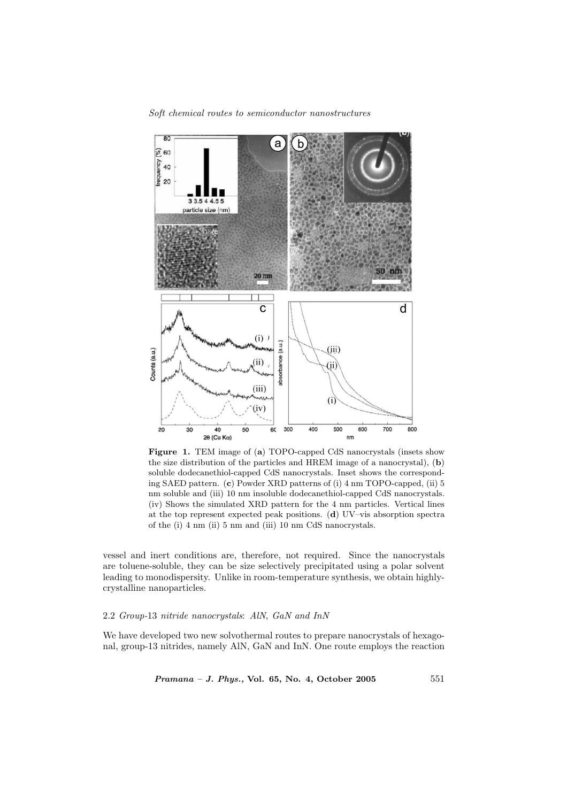Soft chemical routes to semiconductor nanostructures



Figure 1. TEM image of (a) TOPO-capped CdS nanocrystals (insets show the size distribution of the particles and HREM image of a nanocrystal), (b) soluble dodecanethiol-capped CdS nanocrystals. Inset shows the corresponding SAED pattern. (c) Powder XRD patterns of (i) 4 nm TOPO-capped, (ii) 5 nm soluble and (iii) 10 nm insoluble dodecanethiol-capped CdS nanocrystals. (iv) Shows the simulated XRD pattern for the 4 nm particles. Vertical lines at the top represent expected peak positions. (d) UV–vis absorption spectra of the (i) 4 nm (ii) 5 nm and (iii) 10 nm CdS nanocrystals.

vessel and inert conditions are, therefore, not required. Since the nanocrystals are toluene-soluble, they can be size selectively precipitated using a polar solvent leading to monodispersity. Unlike in room-temperature synthesis, we obtain highlycrystalline nanoparticles.

## 2.2 Group-13 nitride nanocrystals: AlN, GaN and InN

We have developed two new solvothermal routes to prepare nanocrystals of hexagonal, group-13 nitrides, namely AlN, GaN and InN. One route employs the reaction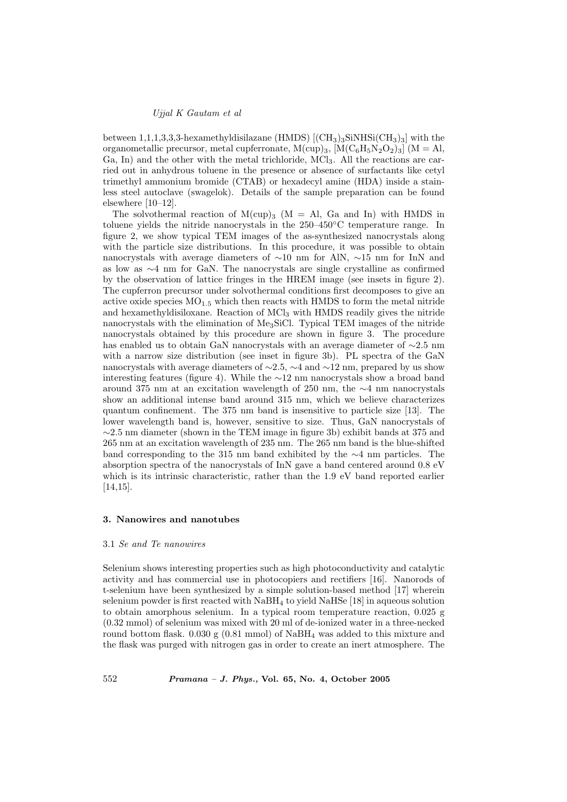between 1,1,1,3,3,3-hexamethyldisilazane (HMDS)  $[(CH_3)_3SINHSi(CH_3)_3]$  with the organometallic precursor, metal cupferronate,  $M(cup)_3$ ,  $[M(C_6H_5N_2O_2)_3]$  ( $M = Al$ , Ga, In) and the other with the metal trichloride, MCl<sub>3</sub>. All the reactions are carried out in anhydrous toluene in the presence or absence of surfactants like cetyl trimethyl ammonium bromide (CTAB) or hexadecyl amine (HDA) inside a stainless steel autoclave (swagelok). Details of the sample preparation can be found elsewhere [10–12].

The solvothermal reaction of  $M(cup)_3$  (M = Al, Ga and In) with HMDS in toluene yields the nitride nanocrystals in the 250–450◦C temperature range. In figure 2, we show typical TEM images of the as-synthesized nanocrystals along with the particle size distributions. In this procedure, it was possible to obtain nanocrystals with average diameters of ∼10 nm for AlN, ∼15 nm for InN and as low as ∼4 nm for GaN. The nanocrystals are single crystalline as confirmed by the observation of lattice fringes in the HREM image (see insets in figure 2). The cupferron precursor under solvothermal conditions first decomposes to give an active oxide species  $MO_{1.5}$  which then reacts with HMDS to form the metal nitride and hexamethyldisiloxane. Reaction of  $MCl<sub>3</sub>$  with HMDS readily gives the nitride nanocrystals with the elimination of Me3SiCl. Typical TEM images of the nitride nanocrystals obtained by this procedure are shown in figure 3. The procedure has enabled us to obtain GaN nanocrystals with an average diameter of ∼2.5 nm with a narrow size distribution (see inset in figure 3b). PL spectra of the GaN nanocrystals with average diameters of ∼2.5, ∼4 and ∼12 nm, prepared by us show interesting features (figure 4). While the ∼12 nm nanocrystals show a broad band around 375 nm at an excitation wavelength of 250 nm, the ∼4 nm nanocrystals show an additional intense band around 315 nm, which we believe characterizes quantum confinement. The 375 nm band is insensitive to particle size [13]. The lower wavelength band is, however, sensitive to size. Thus, GaN nanocrystals of  $\sim$ 2.5 nm diameter (shown in the TEM image in figure 3b) exhibit bands at 375 and 265 nm at an excitation wavelength of 235 nm. The 265 nm band is the blue-shifted band corresponding to the 315 nm band exhibited by the ∼4 nm particles. The absorption spectra of the nanocrystals of InN gave a band centered around 0.8 eV which is its intrinsic characteristic, rather than the 1.9 eV band reported earlier [14,15].

#### 3. Nanowires and nanotubes

#### 3.1 Se and Te nanowires

Selenium shows interesting properties such as high photoconductivity and catalytic activity and has commercial use in photocopiers and rectifiers [16]. Nanorods of t-selenium have been synthesized by a simple solution-based method [17] wherein selenium powder is first reacted with NaBH<sup>4</sup> to yield NaHSe [18] in aqueous solution to obtain amorphous selenium. In a typical room temperature reaction, 0.025 g (0.32 mmol) of selenium was mixed with 20 ml of de-ionized water in a three-necked round bottom flask.  $0.030 \text{ g}$  (0.81 mmol) of NaBH<sub>4</sub> was added to this mixture and the flask was purged with nitrogen gas in order to create an inert atmosphere. The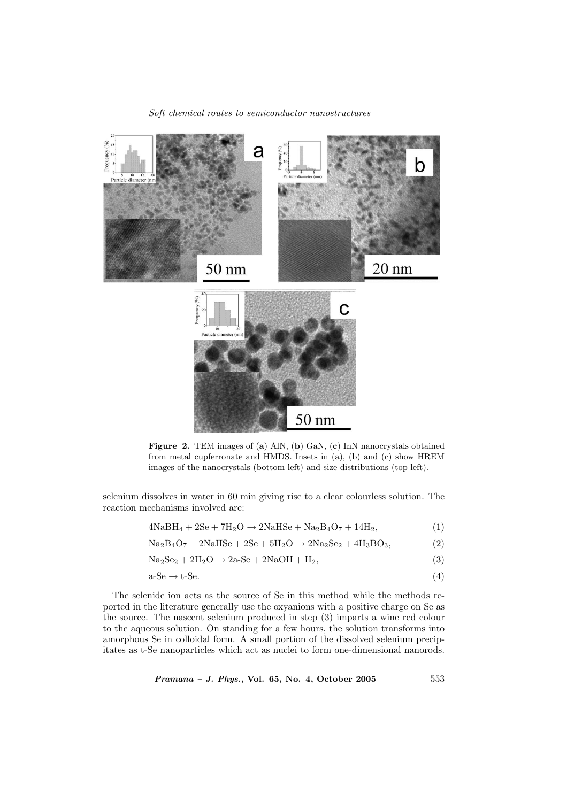

Figure 2. TEM images of (a) AlN, (b) GaN, (c) InN nanocrystals obtained from metal cupferronate and HMDS. Insets in (a), (b) and (c) show HREM images of the nanocrystals (bottom left) and size distributions (top left).

selenium dissolves in water in 60 min giving rise to a clear colourless solution. The reaction mechanisms involved are:

$$
4NaBH4 + 2Se + 7H2O \rightarrow 2NaHSe + Na2B4O7 + 14H2,
$$
\n(1)

$$
Na2B4O7 + 2NaHSe + 2Se + 5H2O \rightarrow 2Na2Se2 + 4H3BO3,
$$
\n(2)

$$
Na2Se2 + 2H2O \rightarrow 2a-Se + 2NaOH + H2,
$$
\n(3)

$$
a-Se \to t-Se. \tag{4}
$$

The selenide ion acts as the source of Se in this method while the methods reported in the literature generally use the oxyanions with a positive charge on Se as the source. The nascent selenium produced in step (3) imparts a wine red colour to the aqueous solution. On standing for a few hours, the solution transforms into amorphous Se in colloidal form. A small portion of the dissolved selenium precipitates as t-Se nanoparticles which act as nuclei to form one-dimensional nanorods.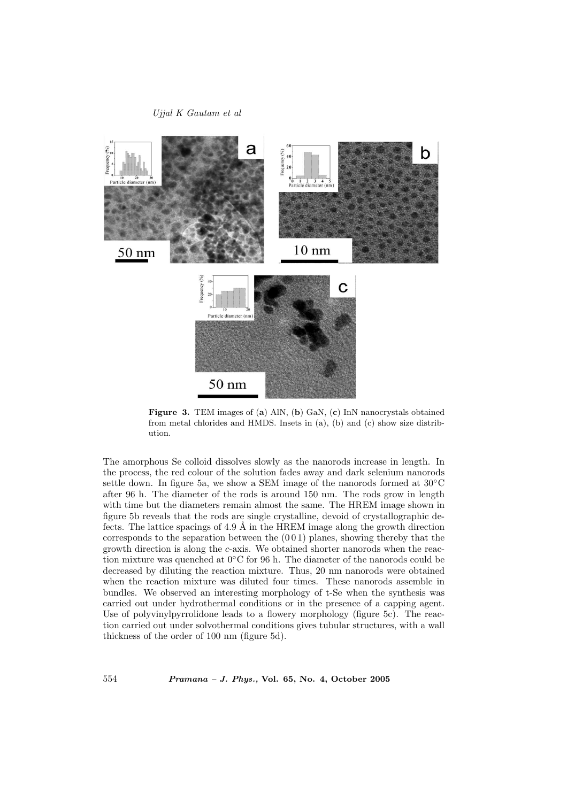

Figure 3. TEM images of (a) AlN, (b) GaN, (c) InN nanocrystals obtained from metal chlorides and HMDS. Insets in (a), (b) and (c) show size distribution.

The amorphous Se colloid dissolves slowly as the nanorods increase in length. In the process, the red colour of the solution fades away and dark selenium nanorods settle down. In figure 5a, we show a SEM image of the nanorods formed at  $30^{\circ}$ C after 96 h. The diameter of the rods is around 150 nm. The rods grow in length with time but the diameters remain almost the same. The HREM image shown in figure 5b reveals that the rods are single crystalline, devoid of crystallographic defects. The lattice spacings of 4.9  $\AA$  in the HREM image along the growth direction corresponds to the separation between the  $(001)$  planes, showing thereby that the growth direction is along the c-axis. We obtained shorter nanorods when the reaction mixture was quenched at 0◦C for 96 h. The diameter of the nanorods could be decreased by diluting the reaction mixture. Thus, 20 nm nanorods were obtained when the reaction mixture was diluted four times. These nanorods assemble in bundles. We observed an interesting morphology of t-Se when the synthesis was carried out under hydrothermal conditions or in the presence of a capping agent. Use of polyvinylpyrrolidone leads to a flowery morphology (figure 5c). The reaction carried out under solvothermal conditions gives tubular structures, with a wall thickness of the order of 100 nm (figure 5d).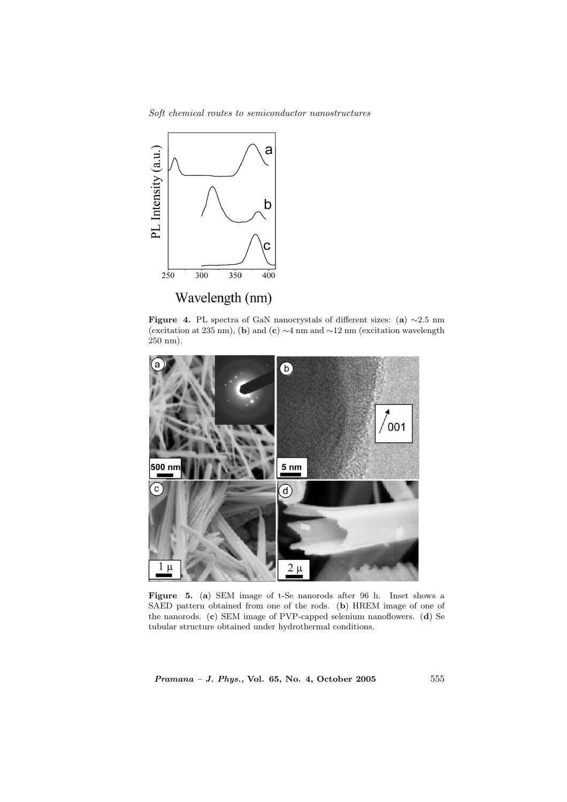Soft chemical routes to semiconductor nanostructures



Figure 4. PL spectra of GaN nanocrystals of different sizes: (a)  $\sim$ 2.5 nm (excitation at 235 nm), (b) and (c) ∼4 nm and ∼12 nm (excitation wavelength 250 nm).



Figure 5. (a) SEM image of t-Se nanorods after 96 h. Inset shows a SAED pattern obtained from one of the rods. (b) HREM image of one of the nanorods. (c) SEM image of PVP-capped selenium nanoflowers. (d) Se tubular structure obtained under hydrothermal conditions.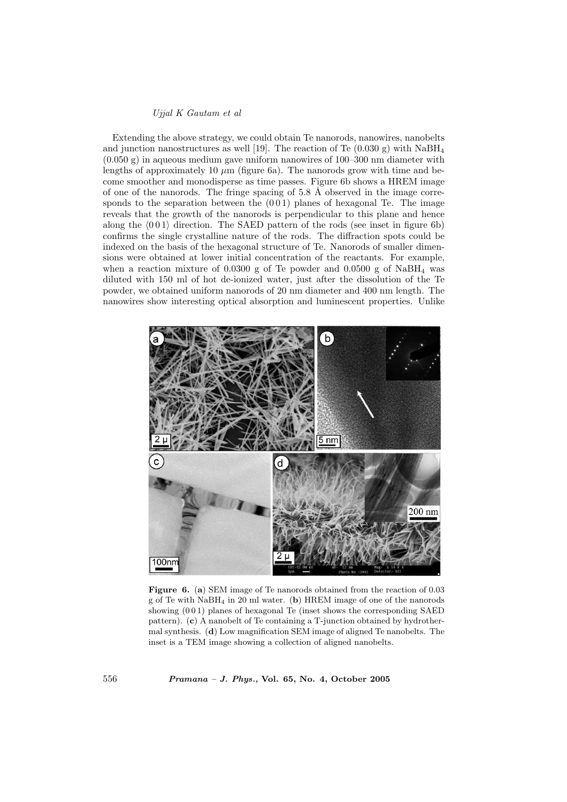Extending the above strategy, we could obtain Te nanorods, nanowires, nanobelts and junction nanostructures as well [19]. The reaction of Te  $(0.030 \text{ g})$  with NaBH<sub>4</sub>  $(0.050 \text{ g})$  in aqueous medium gave uniform nanowires of  $100-300 \text{ nm}$  diameter with lengths of approximately 10  $\mu$ m (figure 6a). The nanorods grow with time and become smoother and monodisperse as time passes. Figure 6b shows a HREM image of one of the nanorods. The fringe spacing of 5.8  $\AA$  observed in the image corresponds to the separation between the  $(001)$  planes of hexagonal Te. The image reveals that the growth of the nanorods is perpendicular to this plane and hence along the  $\langle 0 0 1 \rangle$  direction. The SAED pattern of the rods (see inset in figure 6b) confirms the single crystalline nature of the rods. The diffraction spots could be indexed on the basis of the hexagonal structure of Te. Nanorods of smaller dimensions were obtained at lower initial concentration of the reactants. For example, when a reaction mixture of 0.0300 g of Te powder and 0.0500 g of  $N$ aBH<sub>4</sub> was diluted with 150 ml of hot de-ionized water, just after the dissolution of the Te powder, we obtained uniform nanorods of 20 nm diameter and 400 nm length. The nanowires show interesting optical absorption and luminescent properties. Unlike



Figure 6. (a) SEM image of Te nanorods obtained from the reaction of 0.03 g of Te with  $N$ aBH<sub>4</sub> in 20 ml water. (b) HREM image of one of the nanorods showing (0 0 1) planes of hexagonal Te (inset shows the corresponding SAED pattern). (c) A nanobelt of Te containing a T-junction obtained by hydrothermal synthesis. (d) Low magnification SEM image of aligned Te nanobelts. The inset is a TEM image showing a collection of aligned nanobelts.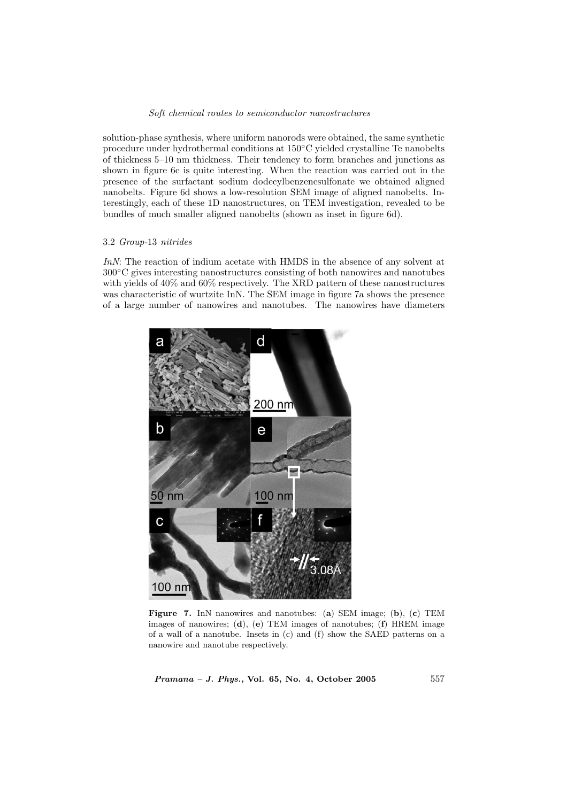solution-phase synthesis, where uniform nanorods were obtained, the same synthetic procedure under hydrothermal conditions at 150◦C yielded crystalline Te nanobelts of thickness 5–10 nm thickness. Their tendency to form branches and junctions as shown in figure 6c is quite interesting. When the reaction was carried out in the presence of the surfactant sodium dodecylbenzenesulfonate we obtained aligned nanobelts. Figure 6d shows a low-resolution SEM image of aligned nanobelts. Interestingly, each of these 1D nanostructures, on TEM investigation, revealed to be bundles of much smaller aligned nanobelts (shown as inset in figure 6d).

#### 3.2 Group-13 nitrides

InN: The reaction of indium acetate with HMDS in the absence of any solvent at 300◦C gives interesting nanostructures consisting of both nanowires and nanotubes with yields of 40% and 60% respectively. The XRD pattern of these nanostructures was characteristic of wurtzite InN. The SEM image in figure 7a shows the presence of a large number of nanowires and nanotubes. The nanowires have diameters



Figure 7. InN nanowires and nanotubes: (a) SEM image; (b), (c) TEM images of nanowires; (d), (e) TEM images of nanotubes; (f) HREM image of a wall of a nanotube. Insets in (c) and (f) show the SAED patterns on a nanowire and nanotube respectively.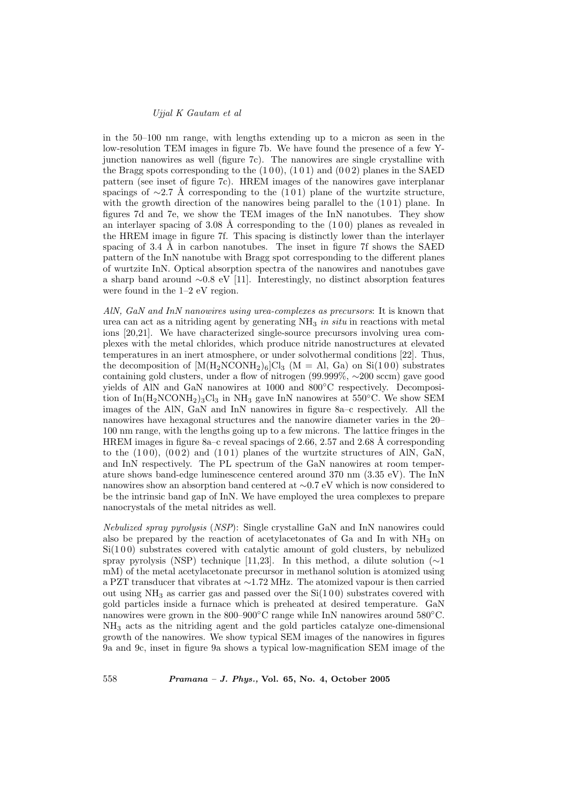in the 50–100 nm range, with lengths extending up to a micron as seen in the low-resolution TEM images in figure 7b. We have found the presence of a few Yjunction nanowires as well (figure 7c). The nanowires are single crystalline with the Bragg spots corresponding to the  $(100)$ ,  $(101)$  and  $(002)$  planes in the SAED pattern (see inset of figure 7c). HREM images of the nanowires gave interplanar spacings of ∼2.7 Å corresponding to the (101) plane of the wurtzite structure, with the growth direction of the nanowires being parallel to the  $(101)$  plane. In figures 7d and 7e, we show the TEM images of the InN nanotubes. They show an interlayer spacing of 3.08 Å corresponding to the  $(100)$  planes as revealed in the HREM image in figure 7f. This spacing is distinctly lower than the interlayer spacing of 3.4  $\AA$  in carbon nanotubes. The inset in figure 7f shows the SAED pattern of the InN nanotube with Bragg spot corresponding to the different planes of wurtzite InN. Optical absorption spectra of the nanowires and nanotubes gave a sharp band around ∼0.8 eV [11]. Interestingly, no distinct absorption features were found in the 1–2 eV region.

AlN, GaN and InN nanowires using urea-complexes as precursors: It is known that urea can act as a nitriding agent by generating  $NH_3$  in situ in reactions with metal ions [20,21]. We have characterized single-source precursors involving urea complexes with the metal chlorides, which produce nitride nanostructures at elevated temperatures in an inert atmosphere, or under solvothermal conditions [22]. Thus, the decomposition of  $[M(H_2NCONH_2)_6]Cl_3$  (M = Al, Ga) on Si(100) substrates containing gold clusters, under a flow of nitrogen (99.999%, ∼200 sccm) gave good yields of AlN and GaN nanowires at 1000 and 800◦C respectively. Decomposition of  $\text{In}(\text{H}_2\text{NCONH}_2)_3\text{Cl}_3$  in  $\text{NH}_3$  gave InN nanowires at 550°C. We show SEM images of the AlN, GaN and InN nanowires in figure 8a–c respectively. All the nanowires have hexagonal structures and the nanowire diameter varies in the 20– 100 nm range, with the lengths going up to a few microns. The lattice fringes in the HREM images in figure 8a–c reveal spacings of 2.66, 2.57 and 2.68 Å corresponding to the  $(100)$ ,  $(002)$  and  $(101)$  planes of the wurtzite structures of AlN, GaN, and InN respectively. The PL spectrum of the GaN nanowires at room temperature shows band-edge luminescence centered around 370 nm (3.35 eV). The InN nanowires show an absorption band centered at ∼0.7 eV which is now considered to be the intrinsic band gap of InN. We have employed the urea complexes to prepare nanocrystals of the metal nitrides as well.

Nebulized spray pyrolysis (NSP): Single crystalline GaN and InN nanowires could also be prepared by the reaction of acetylacetonates of Ga and In with  $NH<sub>3</sub>$  on  $Si(100)$  substrates covered with catalytic amount of gold clusters, by nebulized spray pyrolysis (NSP) technique [11,23]. In this method, a dilute solution ( $\sim$ 1 mM) of the metal acetylacetonate precursor in methanol solution is atomized using a PZT transducer that vibrates at ∼1.72 MHz. The atomized vapour is then carried out using  $NH_3$  as carrier gas and passed over the  $Si(100)$  substrates covered with gold particles inside a furnace which is preheated at desired temperature. GaN nanowires were grown in the 800–900◦C range while InN nanowires around 580◦C. NH<sup>3</sup> acts as the nitriding agent and the gold particles catalyze one-dimensional growth of the nanowires. We show typical SEM images of the nanowires in figures 9a and 9c, inset in figure 9a shows a typical low-magnification SEM image of the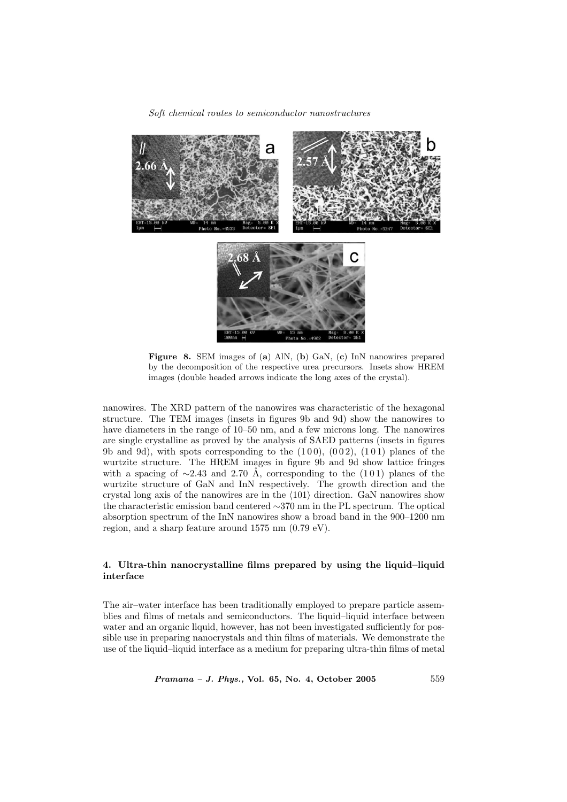

Figure 8. SEM images of (a) AlN, (b) GaN, (c) InN nanowires prepared by the decomposition of the respective urea precursors. Insets show HREM images (double headed arrows indicate the long axes of the crystal).

nanowires. The XRD pattern of the nanowires was characteristic of the hexagonal structure. The TEM images (insets in figures 9b and 9d) show the nanowires to have diameters in the range of 10–50 nm, and a few microns long. The nanowires are single crystalline as proved by the analysis of SAED patterns (insets in figures 9b and 9d), with spots corresponding to the  $(100)$ ,  $(002)$ ,  $(101)$  planes of the wurtzite structure. The HREM images in figure 9b and 9d show lattice fringes with a spacing of  $\sim$ 2.43 and 2.70 Å, corresponding to the (101) planes of the wurtzite structure of GaN and InN respectively. The growth direction and the crystal long axis of the nanowires are in the  $\langle 101 \rangle$  direction. GaN nanowires show the characteristic emission band centered ∼370 nm in the PL spectrum. The optical absorption spectrum of the InN nanowires show a broad band in the 900–1200 nm region, and a sharp feature around 1575 nm (0.79 eV).

## 4. Ultra-thin nanocrystalline films prepared by using the liquid–liquid interface

The air–water interface has been traditionally employed to prepare particle assemblies and films of metals and semiconductors. The liquid–liquid interface between water and an organic liquid, however, has not been investigated sufficiently for possible use in preparing nanocrystals and thin films of materials. We demonstrate the use of the liquid–liquid interface as a medium for preparing ultra-thin films of metal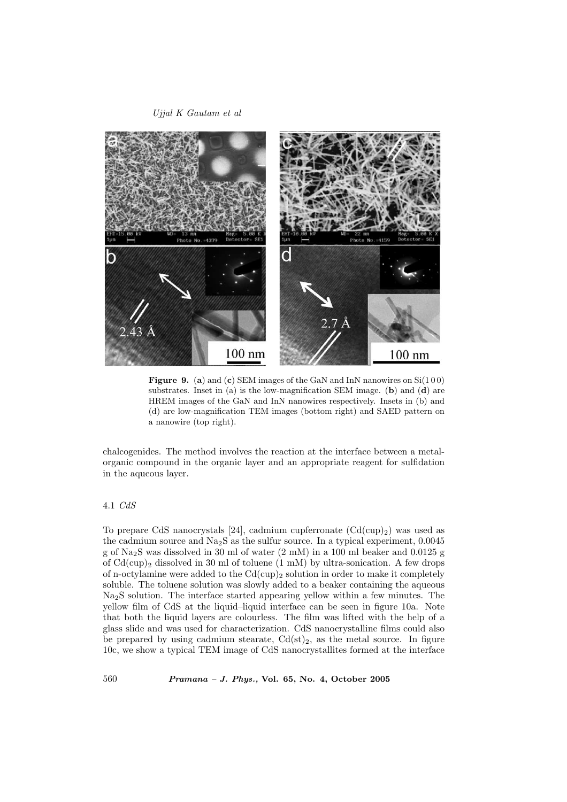

**Figure 9.** (a) and (c) SEM images of the GaN and InN nanowires on  $Si(100)$ substrates. Inset in (a) is the low-magnification SEM image. (b) and (d) are HREM images of the GaN and InN nanowires respectively. Insets in (b) and (d) are low-magnification TEM images (bottom right) and SAED pattern on a nanowire (top right).

chalcogenides. The method involves the reaction at the interface between a metalorganic compound in the organic layer and an appropriate reagent for sulfidation in the aqueous layer.

## 4.1 CdS

To prepare CdS nanocrystals [24], cadmium cupferronate  $(Cd(cup)_2)$  was used as the cadmium source and  $Na<sub>2</sub>S$  as the sulfur source. In a typical experiment, 0.0045 g of Na2S was dissolved in 30 ml of water (2 mM) in a 100 ml beaker and 0.0125 g of  $Cd(cup)_2$  dissolved in 30 ml of toluene  $(1 \text{ mM})$  by ultra-sonication. A few drops of n-octylamine were added to the  $Cd(cup)_2$  solution in order to make it completely soluble. The toluene solution was slowly added to a beaker containing the aqueous Na2S solution. The interface started appearing yellow within a few minutes. The yellow film of CdS at the liquid–liquid interface can be seen in figure 10a. Note that both the liquid layers are colourless. The film was lifted with the help of a glass slide and was used for characterization. CdS nanocrystalline films could also be prepared by using cadmium stearate,  $Cd(st)_2$ , as the metal source. In figure 10c, we show a typical TEM image of CdS nanocrystallites formed at the interface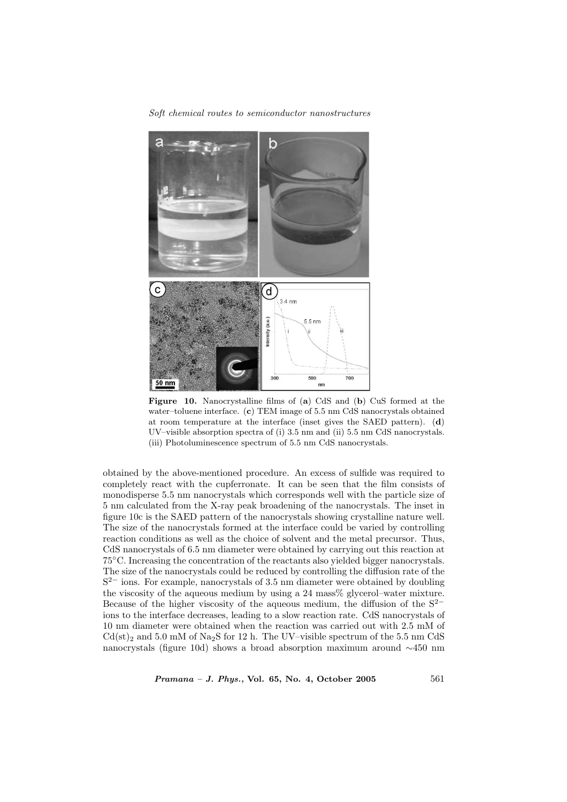

Figure 10. Nanocrystalline films of (a) CdS and (b) CuS formed at the water–toluene interface. (c) TEM image of 5.5 nm CdS nanocrystals obtained at room temperature at the interface (inset gives the SAED pattern). (d) UV–visible absorption spectra of (i) 3.5 nm and (ii) 5.5 nm CdS nanocrystals. (iii) Photoluminescence spectrum of 5.5 nm CdS nanocrystals.

obtained by the above-mentioned procedure. An excess of sulfide was required to completely react with the cupferronate. It can be seen that the film consists of monodisperse 5.5 nm nanocrystals which corresponds well with the particle size of 5 nm calculated from the X-ray peak broadening of the nanocrystals. The inset in figure 10c is the SAED pattern of the nanocrystals showing crystalline nature well. The size of the nanocrystals formed at the interface could be varied by controlling reaction conditions as well as the choice of solvent and the metal precursor. Thus, CdS nanocrystals of 6.5 nm diameter were obtained by carrying out this reaction at 75◦C. Increasing the concentration of the reactants also yielded bigger nanocrystals. The size of the nanocrystals could be reduced by controlling the diffusion rate of the S<sup>2−</sup> ions. For example, nanocrystals of 3.5 nm diameter were obtained by doubling the viscosity of the aqueous medium by using a 24 mass% glycerol–water mixture. Because of the higher viscosity of the aqueous medium, the diffusion of the S<sup>2</sup><sup>−</sup> ions to the interface decreases, leading to a slow reaction rate. CdS nanocrystals of 10 nm diameter were obtained when the reaction was carried out with 2.5 mM of  $Cd(st)_2$  and 5.0 mM of Na<sub>2</sub>S for 12 h. The UV–visible spectrum of the 5.5 nm CdS nanocrystals (figure 10d) shows a broad absorption maximum around ∼450 nm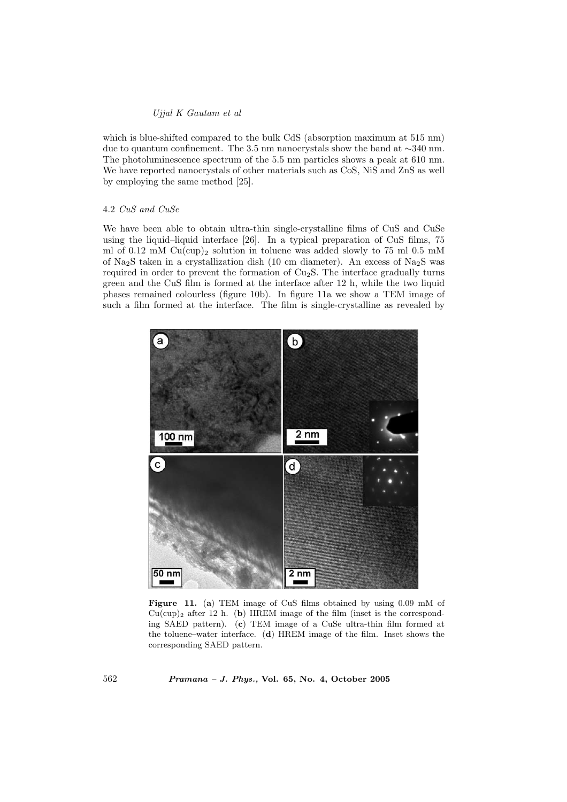which is blue-shifted compared to the bulk CdS (absorption maximum at 515 nm) due to quantum confinement. The 3.5 nm nanocrystals show the band at ∼340 nm. The photoluminescence spectrum of the 5.5 nm particles shows a peak at 610 nm. We have reported nanocrystals of other materials such as CoS, NiS and ZnS as well by employing the same method [25].

#### 4.2 CuS and CuSe

We have been able to obtain ultra-thin single-crystalline films of CuS and CuSe using the liquid–liquid interface [26]. In a typical preparation of CuS films, 75 ml of 0.12 mM  $Cu$ (cup)<sub>2</sub> solution in toluene was added slowly to 75 ml 0.5 mM of Na<sub>2</sub>S taken in a crystallization dish (10 cm diameter). An excess of Na<sub>2</sub>S was required in order to prevent the formation of  $Cu<sub>2</sub>S$ . The interface gradually turns green and the CuS film is formed at the interface after 12 h, while the two liquid phases remained colourless (figure 10b). In figure 11a we show a TEM image of such a film formed at the interface. The film is single-crystalline as revealed by



Figure 11. (a) TEM image of CuS films obtained by using 0.09 mM of  $Cu(cup)_2$  after 12 h. (b) HREM image of the film (inset is the corresponding SAED pattern). (c) TEM image of a CuSe ultra-thin film formed at the toluene–water interface. (d) HREM image of the film. Inset shows the corresponding SAED pattern.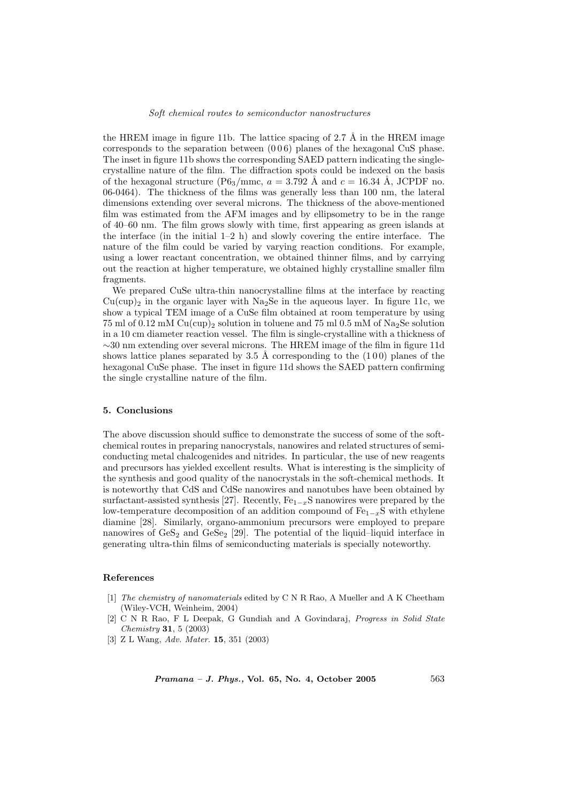the HREM image in figure 11b. The lattice spacing of 2.7  $\AA$  in the HREM image corresponds to the separation between (0 0 6) planes of the hexagonal CuS phase. The inset in figure 11b shows the corresponding SAED pattern indicating the singlecrystalline nature of the film. The diffraction spots could be indexed on the basis of the hexagonal structure (P6<sub>3</sub>/mmc,  $a = 3.792$  Å and  $c = 16.34$  Å, JCPDF no. 06-0464). The thickness of the films was generally less than 100 nm, the lateral dimensions extending over several microns. The thickness of the above-mentioned film was estimated from the AFM images and by ellipsometry to be in the range of 40–60 nm. The film grows slowly with time, first appearing as green islands at the interface (in the initial 1–2 h) and slowly covering the entire interface. The nature of the film could be varied by varying reaction conditions. For example, using a lower reactant concentration, we obtained thinner films, and by carrying out the reaction at higher temperature, we obtained highly crystalline smaller film fragments.

We prepared CuSe ultra-thin nanocrystalline films at the interface by reacting  $Cu(cup)_2$  in the organic layer with Na<sub>2</sub>Se in the aqueous layer. In figure 11c, we show a typical TEM image of a CuSe film obtained at room temperature by using 75 ml of 0.12 mM  $Cu$ (cup)<sub>2</sub> solution in toluene and 75 ml 0.5 mM of Na<sub>2</sub>Se solution in a 10 cm diameter reaction vessel. The film is single-crystalline with a thickness of ∼30 nm extending over several microns. The HREM image of the film in figure 11d shows lattice planes separated by 3.5 Å corresponding to the  $(100)$  planes of the hexagonal CuSe phase. The inset in figure 11d shows the SAED pattern confirming the single crystalline nature of the film.

#### 5. Conclusions

The above discussion should suffice to demonstrate the success of some of the softchemical routes in preparing nanocrystals, nanowires and related structures of semiconducting metal chalcogenides and nitrides. In particular, the use of new reagents and precursors has yielded excellent results. What is interesting is the simplicity of the synthesis and good quality of the nanocrystals in the soft-chemical methods. It is noteworthy that CdS and CdSe nanowires and nanotubes have been obtained by surfactant-assisted synthesis [27]. Recently,  $Fe_{1-x}S$  nanowires were prepared by the low-temperature decomposition of an addition compound of  $Fe_{1-x}S$  with ethylene diamine [28]. Similarly, organo-ammonium precursors were employed to prepare nanowires of  $\text{GeS}_2$  and  $\text{GeS}_2$  [29]. The potential of the liquid–liquid interface in generating ultra-thin films of semiconducting materials is specially noteworthy.

## References

- [1] The chemistry of nanomaterials edited by C N R Rao, A Mueller and A K Cheetham (Wiley-VCH, Weinheim, 2004)
- [2] C N R Rao, F L Deepak, G Gundiah and A Govindaraj, Progress in Solid State Chemistry 31, 5 (2003)
- [3] Z L Wang, Adv. Mater. 15, 351 (2003)